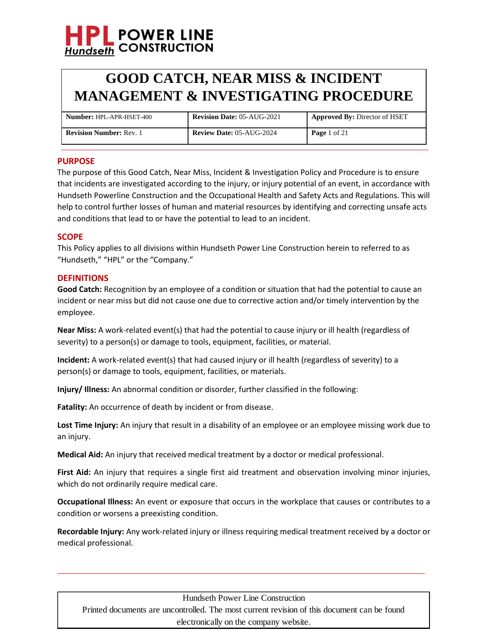

| <b>Number: HPL-APR-HSET-400</b> | <b>Revision Date: 05-AUG-2021</b> | <b>Approved By: Director of HSET</b> |
|---------------------------------|-----------------------------------|--------------------------------------|
| <b>Revision Number: Rev. 1</b>  | <b>Review Date: 05-AUG-2024</b>   | <b>Page</b> 1 of 21                  |

### **PURPOSE**

The purpose of this Good Catch, Near Miss, Incident & Investigation Policy and Procedure is to ensure that incidents are investigated according to the injury, or injury potential of an event, in accordance with Hundseth Powerline Construction and the Occupational Health and Safety Acts and Regulations. This will help to control further losses of human and material resources by identifying and correcting unsafe acts and conditions that lead to or have the potential to lead to an incident.

#### **SCOPE**

This Policy applies to all divisions within Hundseth Power Line Construction herein to referred to as "Hundseth," "HPL" or the "Company."

#### **DEFINITIONS**

**Good Catch:** Recognition by an employee of a condition or situation that had the potential to cause an incident or near miss but did not cause one due to corrective action and/or timely intervention by the employee.

**Near Miss:** A work-related event(s) that had the potential to cause injury or ill health (regardless of severity) to a person(s) or damage to tools, equipment, facilities, or material.

**Incident:** A work-related event(s) that had caused injury or ill health (regardless of severity) to a person(s) or damage to tools, equipment, facilities, or materials.

**Injury/ Illness:** An abnormal condition or disorder, further classified in the following:

**Fatality:** An occurrence of death by incident or from disease.

Lost Time Injury: An injury that result in a disability of an employee or an employee missing work due to an injury.

**Medical Aid:** An injury that received medical treatment by a doctor or medical professional.

**First Aid:** An injury that requires a single first aid treatment and observation involving minor injuries, which do not ordinarily require medical care.

**Occupational Illness:** An event or exposure that occurs in the workplace that causes or contributes to a condition or worsens a preexisting condition.

**Recordable Injury:** Any work-related injury or illness requiring medical treatment received by a doctor or medical professional.

Hundseth Power Line Construction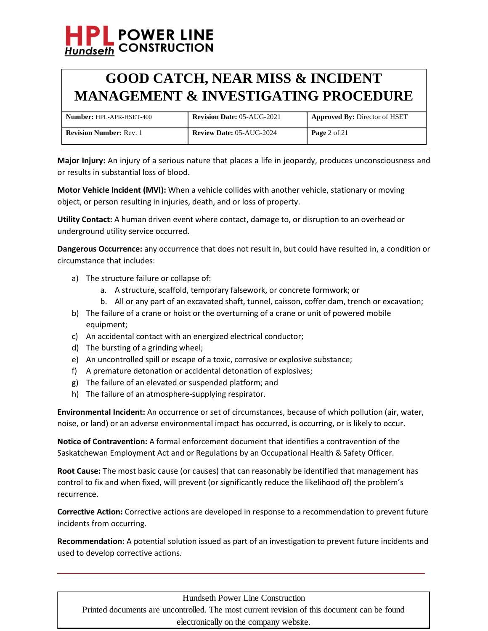

| <b>Number: HPL-APR-HSET-400</b> | <b>Revision Date: 05-AUG-2021</b> | <b>Approved By: Director of HSET</b> |
|---------------------------------|-----------------------------------|--------------------------------------|
| <b>Revision Number: Rev. 1</b>  | <b>Review Date: 05-AUG-2024</b>   | <b>Page</b> 2 of 21                  |

**Major Injury:** An injury of a serious nature that places a life in jeopardy, produces unconsciousness and or results in substantial loss of blood.

**Motor Vehicle Incident (MVI):** When a vehicle collides with another vehicle, stationary or moving object, or person resulting in injuries, death, and or loss of property.

**Utility Contact:** A human driven event where contact, damage to, or disruption to an overhead or underground utility service occurred.

**Dangerous Occurrence:** any occurrence that does not result in, but could have resulted in, a condition or circumstance that includes:

- a) The structure failure or collapse of:
	- a. A structure, scaffold, temporary falsework, or concrete formwork; or
	- b. All or any part of an excavated shaft, tunnel, caisson, coffer dam, trench or excavation;
- b) The failure of a crane or hoist or the overturning of a crane or unit of powered mobile equipment;
- c) An accidental contact with an energized electrical conductor;
- d) The bursting of a grinding wheel;
- e) An uncontrolled spill or escape of a toxic, corrosive or explosive substance;
- f) A premature detonation or accidental detonation of explosives;
- g) The failure of an elevated or suspended platform; and
- h) The failure of an atmosphere-supplying respirator.

**Environmental Incident:** An occurrence or set of circumstances, because of which pollution (air, water, noise, or land) or an adverse environmental impact has occurred, is occurring, or is likely to occur.

**Notice of Contravention:** A formal enforcement document that identifies a contravention of the Saskatchewan Employment Act and or Regulations by an Occupational Health & Safety Officer.

**Root Cause:** The most basic cause (or causes) that can reasonably be identified that management has control to fix and when fixed, will prevent (or significantly reduce the likelihood of) the problem's recurrence.

**Corrective Action:** Corrective actions are developed in response to a recommendation to prevent future incidents from occurring.

**Recommendation:** A potential solution issued as part of an investigation to prevent future incidents and used to develop corrective actions.

Hundseth Power Line Construction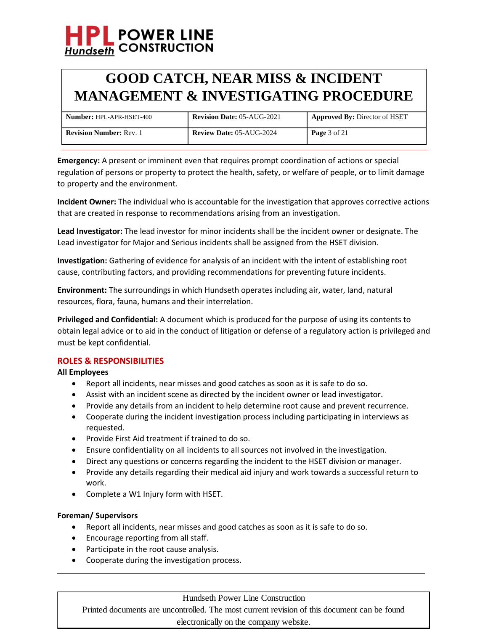

| <b>Number: HPL-APR-HSET-400</b> | <b>Revision Date: 05-AUG-2021</b> | <b>Approved By: Director of HSET</b> |
|---------------------------------|-----------------------------------|--------------------------------------|
| <b>Revision Number: Rev. 1</b>  | <b>Review Date: 05-AUG-2024</b>   | <b>Page</b> 3 of 21                  |

**Emergency:** A present or imminent even that requires prompt coordination of actions or special regulation of persons or property to protect the health, safety, or welfare of people, or to limit damage to property and the environment.

**Incident Owner:** The individual who is accountable for the investigation that approves corrective actions that are created in response to recommendations arising from an investigation.

**Lead Investigator:** The lead investor for minor incidents shall be the incident owner or designate. The Lead investigator for Major and Serious incidents shall be assigned from the HSET division.

**Investigation:** Gathering of evidence for analysis of an incident with the intent of establishing root cause, contributing factors, and providing recommendations for preventing future incidents.

**Environment:** The surroundings in which Hundseth operates including air, water, land, natural resources, flora, fauna, humans and their interrelation.

**Privileged and Confidential:** A document which is produced for the purpose of using its contents to obtain legal advice or to aid in the conduct of litigation or defense of a regulatory action is privileged and must be kept confidential.

## **ROLES & RESPONSIBILITIES**

## **All Employees**

- Report all incidents, near misses and good catches as soon as it is safe to do so.
- Assist with an incident scene as directed by the incident owner or lead investigator.
- Provide any details from an incident to help determine root cause and prevent recurrence.
- Cooperate during the incident investigation process including participating in interviews as requested.
- Provide First Aid treatment if trained to do so.
- Ensure confidentiality on all incidents to all sources not involved in the investigation.
- Direct any questions or concerns regarding the incident to the HSET division or manager.
- Provide any details regarding their medical aid injury and work towards a successful return to work.
- Complete a W1 Injury form with HSET.

### **Foreman/ Supervisors**

- Report all incidents, near misses and good catches as soon as it is safe to do so.
- Encourage reporting from all staff.
- Participate in the root cause analysis.
- Cooperate during the investigation process.

### Hundseth Power Line Construction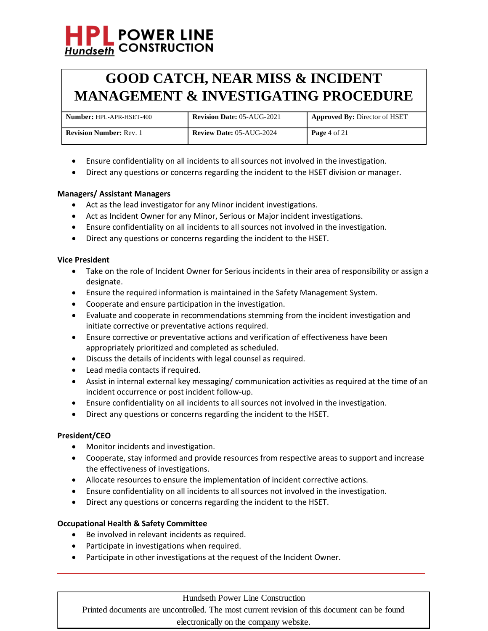## **GOOD CATCH, NEAR MISS & INCIDENT MANAGEMENT & INVESTIGATING PROCEDURE**

| <b>Number: HPL-APR-HSET-400</b> | <b>Revision Date: 05-AUG-2021</b> | <b>Approved By: Director of HSET</b> |
|---------------------------------|-----------------------------------|--------------------------------------|
| <b>Revision Number: Rev. 1</b>  | <b>Review Date: 05-AUG-2024</b>   | <b>Page</b> 4 of 21                  |

- Ensure confidentiality on all incidents to all sources not involved in the investigation.
- Direct any questions or concerns regarding the incident to the HSET division or manager.

## **Managers/ Assistant Managers**

- Act as the lead investigator for any Minor incident investigations.
- Act as Incident Owner for any Minor, Serious or Major incident investigations.
- Ensure confidentiality on all incidents to all sources not involved in the investigation.
- Direct any questions or concerns regarding the incident to the HSET.

### **Vice President**

- Take on the role of Incident Owner for Serious incidents in their area of responsibility or assign a designate.
- Ensure the required information is maintained in the Safety Management System.
- Cooperate and ensure participation in the investigation.
- Evaluate and cooperate in recommendations stemming from the incident investigation and initiate corrective or preventative actions required.
- Ensure corrective or preventative actions and verification of effectiveness have been appropriately prioritized and completed as scheduled.
- Discuss the details of incidents with legal counsel as required.
- Lead media contacts if required.
- Assist in internal external key messaging/ communication activities as required at the time of an incident occurrence or post incident follow-up.
- Ensure confidentiality on all incidents to all sources not involved in the investigation.
- Direct any questions or concerns regarding the incident to the HSET.

### **President/CEO**

- Monitor incidents and investigation.
- Cooperate, stay informed and provide resources from respective areas to support and increase the effectiveness of investigations.
- Allocate resources to ensure the implementation of incident corrective actions.
- Ensure confidentiality on all incidents to all sources not involved in the investigation.
- Direct any questions or concerns regarding the incident to the HSET.

### **Occupational Health & Safety Committee**

- Be involved in relevant incidents as required.
- Participate in investigations when required.
- Participate in other investigations at the request of the Incident Owner.

### Hundseth Power Line Construction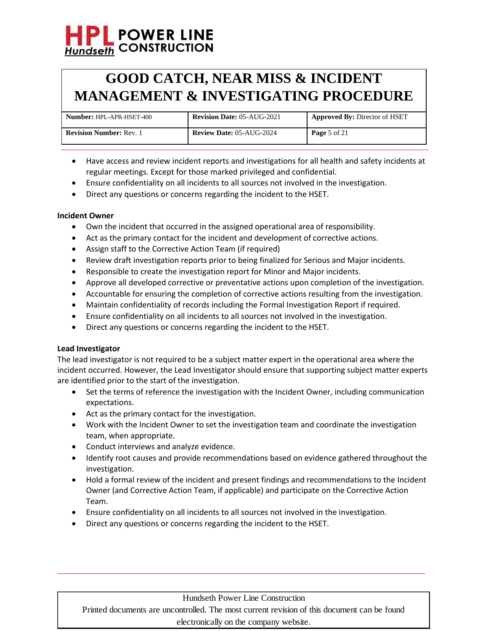## **POWER LINE Hundseth CONSTRUCTION**

## **GOOD CATCH, NEAR MISS & INCIDENT MANAGEMENT & INVESTIGATING PROCEDURE**

| <b>Number: HPL-APR-HSET-400</b> | <b>Revision Date: 05-AUG-2021</b> | Approved By: Director of HSET |
|---------------------------------|-----------------------------------|-------------------------------|
| <b>Revision Number: Rev. 1</b>  | <b>Review Date: 05-AUG-2024</b>   | <b>Page</b> 5 of 21           |

- Have access and review incident reports and investigations for all health and safety incidents at regular meetings. Except for those marked privileged and confidential.
- Ensure confidentiality on all incidents to all sources not involved in the investigation.
- Direct any questions or concerns regarding the incident to the HSET.

## **Incident Owner**

- Own the incident that occurred in the assigned operational area of responsibility.
- Act as the primary contact for the incident and development of corrective actions.
- Assign staff to the Corrective Action Team (if required)
- Review draft investigation reports prior to being finalized for Serious and Major incidents.
- Responsible to create the investigation report for Minor and Major incidents.
- Approve all developed corrective or preventative actions upon completion of the investigation.
- Accountable for ensuring the completion of corrective actions resulting from the investigation.
- Maintain confidentiality of records including the Formal Investigation Report if required.
- Ensure confidentiality on all incidents to all sources not involved in the investigation.
- Direct any questions or concerns regarding the incident to the HSET.

## **Lead Investigator**

The lead investigator is not required to be a subject matter expert in the operational area where the incident occurred. However, the Lead Investigator should ensure that supporting subject matter experts are identified prior to the start of the investigation.

- Set the terms of reference the investigation with the Incident Owner, including communication expectations.
- Act as the primary contact for the investigation.
- Work with the Incident Owner to set the investigation team and coordinate the investigation team, when appropriate.
- Conduct interviews and analyze evidence.
- Identify root causes and provide recommendations based on evidence gathered throughout the investigation.
- Hold a formal review of the incident and present findings and recommendations to the Incident Owner (and Corrective Action Team, if applicable) and participate on the Corrective Action Team.
- Ensure confidentiality on all incidents to all sources not involved in the investigation.
- Direct any questions or concerns regarding the incident to the HSET.

### Hundseth Power Line Construction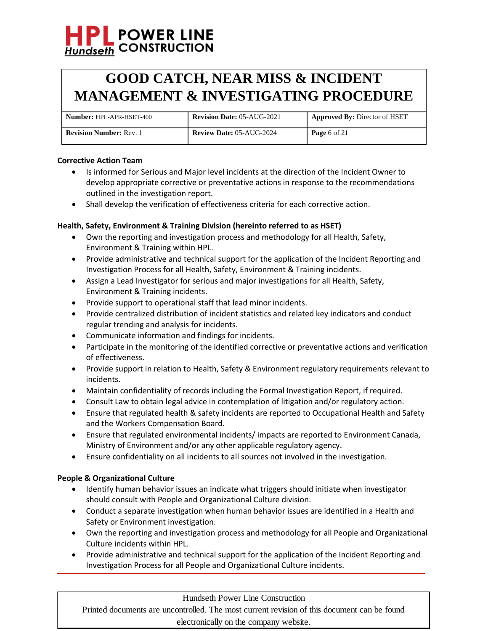## **GOOD CATCH, NEAR MISS & INCIDENT MANAGEMENT & INVESTIGATING PROCEDURE**

| <b>Number: HPL-APR-HSET-400</b> | <b>Revision Date: 05-AUG-2021</b> | <b>Approved By: Director of HSET</b> |
|---------------------------------|-----------------------------------|--------------------------------------|
| <b>Revision Number: Rev. 1</b>  | <b>Review Date: 05-AUG-2024</b>   | <b>Page</b> 6 of 21                  |

### **Corrective Action Team**

- Is informed for Serious and Major level incidents at the direction of the Incident Owner to develop appropriate corrective or preventative actions in response to the recommendations outlined in the investigation report.
- Shall develop the verification of effectiveness criteria for each corrective action.

## **Health, Safety, Environment & Training Division (hereinto referred to as HSET)**

- Own the reporting and investigation process and methodology for all Health, Safety, Environment & Training within HPL.
- Provide administrative and technical support for the application of the Incident Reporting and Investigation Process for all Health, Safety, Environment & Training incidents.
- Assign a Lead Investigator for serious and major investigations for all Health, Safety, Environment & Training incidents.
- Provide support to operational staff that lead minor incidents.
- Provide centralized distribution of incident statistics and related key indicators and conduct regular trending and analysis for incidents.
- Communicate information and findings for incidents.
- Participate in the monitoring of the identified corrective or preventative actions and verification of effectiveness.
- Provide support in relation to Health, Safety & Environment regulatory requirements relevant to incidents.
- Maintain confidentiality of records including the Formal Investigation Report, if required.
- Consult Law to obtain legal advice in contemplation of litigation and/or regulatory action.
- Ensure that regulated health & safety incidents are reported to Occupational Health and Safety and the Workers Compensation Board.
- Ensure that regulated environmental incidents/ impacts are reported to Environment Canada, Ministry of Environment and/or any other applicable regulatory agency.
- Ensure confidentiality on all incidents to all sources not involved in the investigation.

### **People & Organizational Culture**

- Identify human behavior issues an indicate what triggers should initiate when investigator should consult with People and Organizational Culture division.
- Conduct a separate investigation when human behavior issues are identified in a Health and Safety or Environment investigation.
- Own the reporting and investigation process and methodology for all People and Organizational Culture incidents within HPL.
- Provide administrative and technical support for the application of the Incident Reporting and Investigation Process for all People and Organizational Culture incidents.

### Hundseth Power Line Construction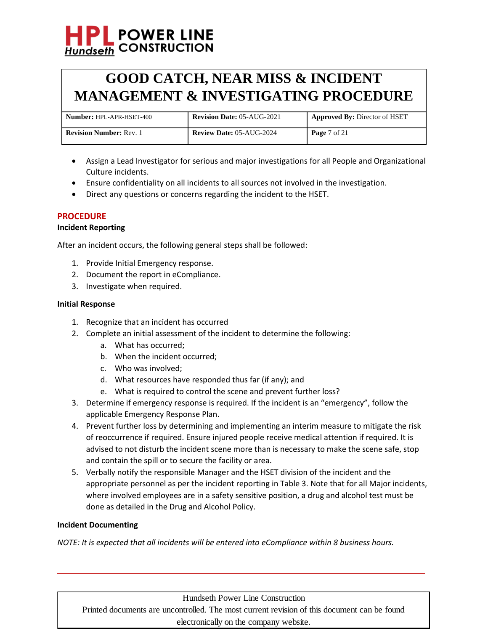## **POWER LINE Hundseth CONSTRUCTION**

## **GOOD CATCH, NEAR MISS & INCIDENT MANAGEMENT & INVESTIGATING PROCEDURE**

| <b>Number: HPL-APR-HSET-400</b> | <b>Revision Date: 05-AUG-2021</b> | <b>Approved By: Director of HSET</b> |
|---------------------------------|-----------------------------------|--------------------------------------|
| <b>Revision Number: Rev. 1</b>  | <b>Review Date: 05-AUG-2024</b>   | <b>Page</b> $7 \text{ of } 21$       |

- Assign a Lead Investigator for serious and major investigations for all People and Organizational Culture incidents.
- Ensure confidentiality on all incidents to all sources not involved in the investigation.
- Direct any questions or concerns regarding the incident to the HSET.

## **PROCEDURE**

## **Incident Reporting**

After an incident occurs, the following general steps shall be followed:

- 1. Provide Initial Emergency response.
- 2. Document the report in eCompliance.
- 3. Investigate when required.

## **Initial Response**

- 1. Recognize that an incident has occurred
- 2. Complete an initial assessment of the incident to determine the following:
	- a. What has occurred;
	- b. When the incident occurred;
	- c. Who was involved;
	- d. What resources have responded thus far (if any); and
	- e. What is required to control the scene and prevent further loss?
- 3. Determine if emergency response is required. If the incident is an "emergency", follow the applicable Emergency Response Plan.
- 4. Prevent further loss by determining and implementing an interim measure to mitigate the risk of reoccurrence if required. Ensure injured people receive medical attention if required. It is advised to not disturb the incident scene more than is necessary to make the scene safe, stop and contain the spill or to secure the facility or area.
- 5. Verbally notify the responsible Manager and the HSET division of the incident and the appropriate personnel as per the incident reporting in Table 3. Note that for all Major incidents, where involved employees are in a safety sensitive position, a drug and alcohol test must be done as detailed in the Drug and Alcohol Policy.

### **Incident Documenting**

*NOTE: It is expected that all incidents will be entered into eCompliance within 8 business hours.*

Hundseth Power Line Construction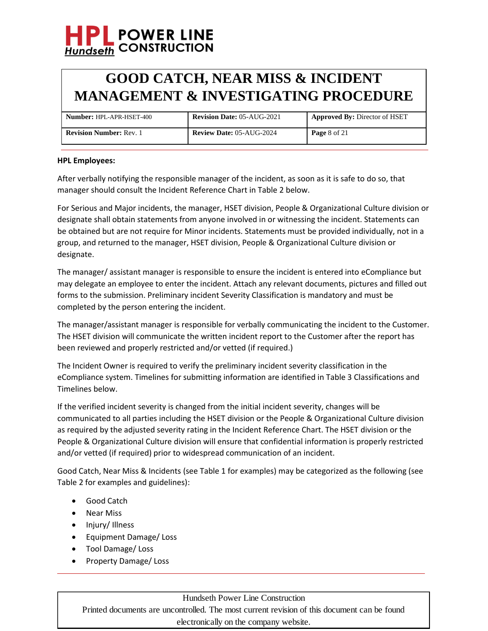## **GOOD CATCH, NEAR MISS & INCIDENT MANAGEMENT & INVESTIGATING PROCEDURE**

| <b>Number: HPL-APR-HSET-400</b> | <b>Revision Date: 05-AUG-2021</b> | <b>Approved By: Director of HSET</b> |
|---------------------------------|-----------------------------------|--------------------------------------|
| <b>Revision Number: Rev. 1</b>  | <b>Review Date: 05-AUG-2024</b>   | <b>Page</b> 8 of 21                  |

### **HPL Employees:**

After verbally notifying the responsible manager of the incident, as soon as it is safe to do so, that manager should consult the Incident Reference Chart in Table 2 below.

For Serious and Major incidents, the manager, HSET division, People & Organizational Culture division or designate shall obtain statements from anyone involved in or witnessing the incident. Statements can be obtained but are not require for Minor incidents. Statements must be provided individually, not in a group, and returned to the manager, HSET division, People & Organizational Culture division or designate.

The manager/ assistant manager is responsible to ensure the incident is entered into eCompliance but may delegate an employee to enter the incident. Attach any relevant documents, pictures and filled out forms to the submission. Preliminary incident Severity Classification is mandatory and must be completed by the person entering the incident.

The manager/assistant manager is responsible for verbally communicating the incident to the Customer. The HSET division will communicate the written incident report to the Customer after the report has been reviewed and properly restricted and/or vetted (if required.)

The Incident Owner is required to verify the preliminary incident severity classification in the eCompliance system. Timelines for submitting information are identified in Table 3 Classifications and Timelines below.

If the verified incident severity is changed from the initial incident severity, changes will be communicated to all parties including the HSET division or the People & Organizational Culture division as required by the adjusted severity rating in the Incident Reference Chart. The HSET division or the People & Organizational Culture division will ensure that confidential information is properly restricted and/or vetted (if required) prior to widespread communication of an incident.

Good Catch, Near Miss & Incidents (see Table 1 for examples) may be categorized as the following (see Table 2 for examples and guidelines):

- Good Catch
- Near Miss
- Injury/ Illness
- Equipment Damage/ Loss
- Tool Damage/ Loss
- Property Damage/ Loss

## Hundseth Power Line Construction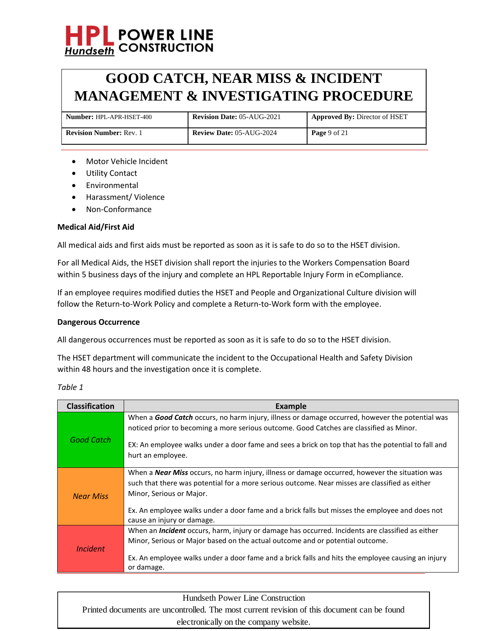## **GOOD CATCH, NEAR MISS & INCIDENT MANAGEMENT & INVESTIGATING PROCEDURE**

| <b>Number: HPL-APR-HSET-400</b> | <b>Revision Date: 05-AUG-2021</b> | <b>Approved By: Director of HSET</b> |
|---------------------------------|-----------------------------------|--------------------------------------|
| <b>Revision Number: Rev. 1</b>  | <b>Review Date: 05-AUG-2024</b>   | <b>Page</b> 9 of 21                  |

- Motor Vehicle Incident
- Utility Contact
- Environmental
- Harassment/ Violence
- Non-Conformance

### **Medical Aid/First Aid**

All medical aids and first aids must be reported as soon as it is safe to do so to the HSET division.

For all Medical Aids, the HSET division shall report the injuries to the Workers Compensation Board within 5 business days of the injury and complete an HPL Reportable Injury Form in eCompliance.

If an employee requires modified duties the HSET and People and Organizational Culture division will follow the Return-to-Work Policy and complete a Return-to-Work form with the employee.

### **Dangerous Occurrence**

All dangerous occurrences must be reported as soon as it is safe to do so to the HSET division.

The HSET department will communicate the incident to the Occupational Health and Safety Division within 48 hours and the investigation once it is complete.

*Table 1*

| <b>Classification</b> | Example                                                                                                                                                                                                 |
|-----------------------|---------------------------------------------------------------------------------------------------------------------------------------------------------------------------------------------------------|
|                       | When a Good Catch occurs, no harm injury, illness or damage occurred, however the potential was<br>noticed prior to becoming a more serious outcome. Good Catches are classified as Minor.              |
| Good Catch            | EX: An employee walks under a door fame and sees a brick on top that has the potential to fall and<br>hurt an employee.                                                                                 |
|                       | When a <b>Near Miss</b> occurs, no harm injury, illness or damage occurred, however the situation was<br>such that there was potential for a more serious outcome. Near misses are classified as either |
| <b>Near Miss</b>      | Minor, Serious or Major.                                                                                                                                                                                |
|                       | Ex. An employee walks under a door fame and a brick falls but misses the employee and does not<br>cause an injury or damage.                                                                            |
|                       | When an <i>Incident</i> occurs, harm, injury or damage has occurred. Incidents are classified as either                                                                                                 |
| <i>Incident</i>       | Minor, Serious or Major based on the actual outcome and or potential outcome.                                                                                                                           |
|                       | Ex. An employee walks under a door fame and a brick falls and hits the employee causing an injury<br>or damage.                                                                                         |

Hundseth Power Line Construction Printed documents are uncontrolled. The most current revision of this document can be found electronically on the company website.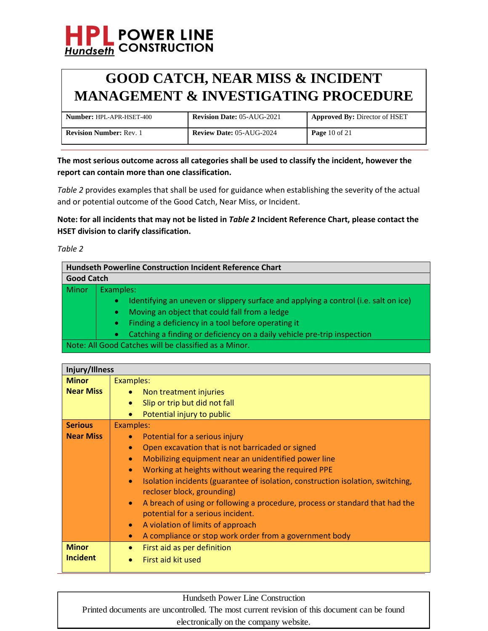

| <b>Number: HPL-APR-HSET-400</b> | <b>Revision Date: 05-AUG-2021</b> | <b>Approved By: Director of HSET</b> |
|---------------------------------|-----------------------------------|--------------------------------------|
| <b>Revision Number: Rev. 1</b>  | <b>Review Date: 05-AUG-2024</b>   | <b>Page</b> 10 of 21                 |

**The most serious outcome across all categories shall be used to classify the incident, however the report can contain more than one classification.**

*Table 2* provides examples that shall be used for guidance when establishing the severity of the actual and or potential outcome of the Good Catch, Near Miss, or Incident.

**Note: for all incidents that may not be listed in** *Table 2* **Incident Reference Chart, please contact the HSET division to clarify classification.**

*Table 2*

|       | <b>Hundseth Powerline Construction Incident Reference Chart</b>                                  |  |  |
|-------|--------------------------------------------------------------------------------------------------|--|--|
|       | <b>Good Catch</b>                                                                                |  |  |
| Minor | Examples:                                                                                        |  |  |
|       | Identifying an uneven or slippery surface and applying a control (i.e. salt on ice)<br>$\bullet$ |  |  |
|       | Moving an object that could fall from a ledge<br>$\bullet$                                       |  |  |
|       | Finding a deficiency in a tool before operating it<br>$\bullet$                                  |  |  |
|       | Catching a finding or deficiency on a daily vehicle pre-trip inspection<br>$\bullet$             |  |  |
|       | Note: All Good Catches will be classified as a Minor.                                            |  |  |

| Injury/Illness   |                                                                                                                                |
|------------------|--------------------------------------------------------------------------------------------------------------------------------|
| <b>Minor</b>     | Examples:                                                                                                                      |
| <b>Near Miss</b> | Non treatment injuries                                                                                                         |
|                  | Slip or trip but did not fall<br>۰                                                                                             |
|                  | Potential injury to public                                                                                                     |
| <b>Serious</b>   | Examples:                                                                                                                      |
| <b>Near Miss</b> | Potential for a serious injury                                                                                                 |
|                  | Open excavation that is not barricaded or signed<br>$\bullet$                                                                  |
|                  | Mobilizing equipment near an unidentified power line<br>$\bullet$                                                              |
|                  | Working at heights without wearing the required PPE<br>$\bullet$                                                               |
|                  | Isolation incidents (guarantee of isolation, construction isolation, switching,<br>$\bullet$<br>recloser block, grounding)     |
|                  | A breach of using or following a procedure, process or standard that had the<br>$\bullet$<br>potential for a serious incident. |
|                  | A violation of limits of approach<br>$\bullet$                                                                                 |
|                  | A compliance or stop work order from a government body<br>۰                                                                    |
| <b>Minor</b>     | First aid as per definition<br>۰                                                                                               |
| <b>Incident</b>  | First aid kit used                                                                                                             |

Hundseth Power Line Construction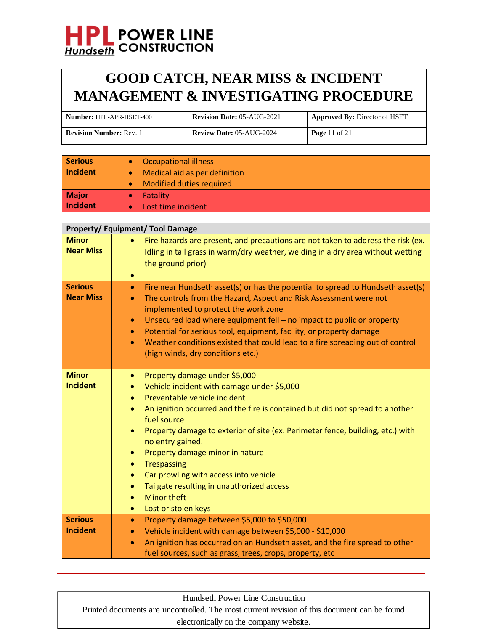## **GOOD CATCH, NEAR MISS & INCIDENT MANAGEMENT & INVESTIGATING PROCEDURE**

| <b>Number:</b> HPL-APR-HSET-400 | <b>Revision Date: 05-AUG-2021</b> | <b>Approved By: Director of HSET</b> |
|---------------------------------|-----------------------------------|--------------------------------------|
| <b>Revision Number: Rev. 1</b>  | <b>Review Date: 05-AUG-2024</b>   | <b>Page 11 of 21</b>                 |

| <b>Serious</b><br>Incident | <b>Occupational illness</b><br>$\bullet$<br>Medical aid as per definition<br>$\bullet$<br><b>Modified duties required</b><br>$\bullet$ |
|----------------------------|----------------------------------------------------------------------------------------------------------------------------------------|
| Major<br>Incident          | Fatality<br>$\bullet$<br>Lost time incident                                                                                            |

|                                    | <b>Property/Equipment/Tool Damage</b>                                                                                                                                                                                                                                                                                                                                                                                                                                                                                                                                                                                                  |
|------------------------------------|----------------------------------------------------------------------------------------------------------------------------------------------------------------------------------------------------------------------------------------------------------------------------------------------------------------------------------------------------------------------------------------------------------------------------------------------------------------------------------------------------------------------------------------------------------------------------------------------------------------------------------------|
| <b>Minor</b><br><b>Near Miss</b>   | Fire hazards are present, and precautions are not taken to address the risk (ex.<br>Idling in tall grass in warm/dry weather, welding in a dry area without wetting<br>the ground prior)<br>$\bullet$                                                                                                                                                                                                                                                                                                                                                                                                                                  |
| <b>Serious</b><br><b>Near Miss</b> | Fire near Hundseth asset(s) or has the potential to spread to Hundseth asset(s)<br>$\bullet$<br>The controls from the Hazard, Aspect and Risk Assessment were not<br>$\bullet$<br>implemented to protect the work zone<br>Unsecured load where equipment fell - no impact to public or property<br>$\bullet$<br>Potential for serious tool, equipment, facility, or property damage<br>$\bullet$<br>Weather conditions existed that could lead to a fire spreading out of control<br>$\bullet$<br>(high winds, dry conditions etc.)                                                                                                    |
| <b>Minor</b><br><b>Incident</b>    | Property damage under \$5,000<br>$\bullet$<br>Vehicle incident with damage under \$5,000<br>$\bullet$<br>Preventable vehicle incident<br>$\bullet$<br>An ignition occurred and the fire is contained but did not spread to another<br>$\bullet$<br>fuel source<br>Property damage to exterior of site (ex. Perimeter fence, building, etc.) with<br>no entry gained.<br>Property damage minor in nature<br>$\bullet$<br><b>Trespassing</b><br>$\bullet$<br>Car prowling with access into vehicle<br>$\bullet$<br>Tailgate resulting in unauthorized access<br>$\bullet$<br><b>Minor theft</b><br>۰<br>Lost or stolen keys<br>$\bullet$ |
| <b>Serious</b><br><b>Incident</b>  | Property damage between \$5,000 to \$50,000<br>$\bullet$<br>Vehicle incident with damage between \$5,000 - \$10,000<br>$\bullet$<br>An ignition has occurred on an Hundseth asset, and the fire spread to other<br>$\bullet$<br>fuel sources, such as grass, trees, crops, property, etc                                                                                                                                                                                                                                                                                                                                               |

Hundseth Power Line Construction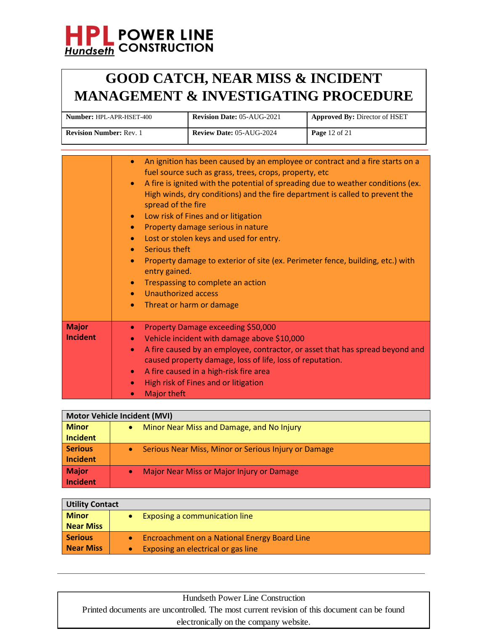## **GOOD CATCH, NEAR MISS & INCIDENT MANAGEMENT & INVESTIGATING PROCEDURE**

| <b>Number: HPL-APR-HSET-400</b> | <b>Revision Date: 05-AUG-2021</b> | <b>Approved By: Director of HSET</b> |
|---------------------------------|-----------------------------------|--------------------------------------|
| <b>Revision Number: Rev. 1</b>  | <b>Review Date: 05-AUG-2024</b>   | <b>Page</b> 12 of 21                 |

|                                 | An ignition has been caused by an employee or contract and a fire starts on a<br>$\bullet$<br>fuel source such as grass, trees, crops, property, etc<br>A fire is ignited with the potential of spreading due to weather conditions (ex.<br>$\bullet$<br>High winds, dry conditions) and the fire department is called to prevent the<br>spread of the fire<br>Low risk of Fines and or litigation<br>$\bullet$<br>Property damage serious in nature<br>$\bullet$<br>Lost or stolen keys and used for entry.<br>$\bullet$<br>Serious theft<br>$\bullet$<br>Property damage to exterior of site (ex. Perimeter fence, building, etc.) with<br>$\bullet$<br>entry gained.<br>Trespassing to complete an action<br>$\bullet$<br>Unauthorized access<br>$\bullet$<br>Threat or harm or damage<br>$\bullet$ |
|---------------------------------|--------------------------------------------------------------------------------------------------------------------------------------------------------------------------------------------------------------------------------------------------------------------------------------------------------------------------------------------------------------------------------------------------------------------------------------------------------------------------------------------------------------------------------------------------------------------------------------------------------------------------------------------------------------------------------------------------------------------------------------------------------------------------------------------------------|
| <b>Major</b><br><b>Incident</b> | Property Damage exceeding \$50,000<br>$\bullet$<br>Vehicle incident with damage above \$10,000<br>$\bullet$<br>A fire caused by an employee, contractor, or asset that has spread beyond and<br>$\bullet$<br>caused property damage, loss of life, loss of reputation.<br>A fire caused in a high-risk fire area<br>$\bullet$<br>High risk of Fines and or litigation<br>$\bullet$<br><b>Major theft</b><br>$\bullet$                                                                                                                                                                                                                                                                                                                                                                                  |

| Motor Vehicle Incident (MVI) |                                                                   |  |
|------------------------------|-------------------------------------------------------------------|--|
| <b>Minor</b>                 | Minor Near Miss and Damage, and No Injury                         |  |
| Incident                     |                                                                   |  |
| <b>Serious</b>               | Serious Near Miss, Minor or Serious Injury or Damage<br>$\bullet$ |  |
| Incident                     |                                                                   |  |
| Major                        | Major Near Miss or Major Injury or Damage<br>$\bullet$            |  |
| Incident                     |                                                                   |  |

| <b>Utility Contact</b> |                                              |
|------------------------|----------------------------------------------|
| <b>Minor</b>           | Exposing a communication line                |
| <b>Near Miss</b>       |                                              |
| <b>Serious</b>         | Encroachment on a National Energy Board Line |
| <b>Near Miss</b>       | Exposing an electrical or gas line           |

## Hundseth Power Line Construction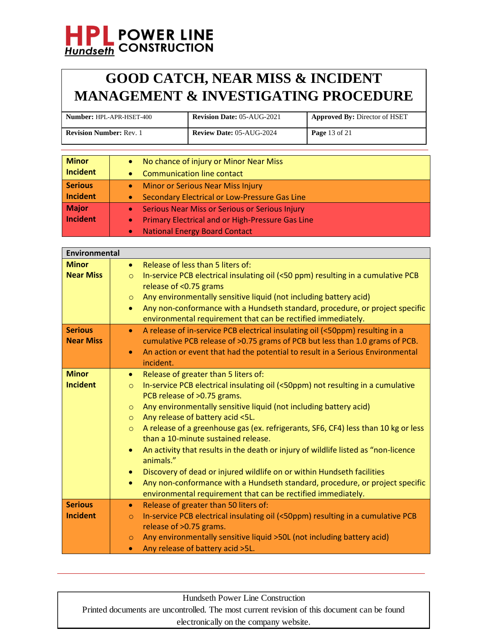## **GOOD CATCH, NEAR MISS & INCIDENT MANAGEMENT & INVESTIGATING PROCEDURE**

| <b>Number: HPL-APR-HSET-400</b> | <b>Revision Date: 05-AUG-2021</b> | <b>Approved By: Director of HSET</b> |
|---------------------------------|-----------------------------------|--------------------------------------|
| <b>Revision Number: Rev. 1</b>  | <b>Review Date: 05-AUG-2024</b>   | <b>Page 13 of 21</b>                 |

| <b>Minor</b><br>Incident   | No chance of injury or Minor Near Miss<br>$\bullet$<br><b>Communication line contact</b><br>$\bullet$                                                                                    |
|----------------------------|------------------------------------------------------------------------------------------------------------------------------------------------------------------------------------------|
| <b>Serious</b><br>Incident | <b>Minor or Serious Near Miss Injury</b><br>$\bullet$<br>Secondary Electrical or Low-Pressure Gas Line<br>$\bullet$                                                                      |
| Major<br>Incident          | Serious Near Miss or Serious or Serious Injury<br>$\bullet$<br><b>Primary Electrical and or High-Pressure Gas Line</b><br>$\bullet$<br><b>National Energy Board Contact</b><br>$\bullet$ |

| <b>Environmental</b>               |                                                                                                                                                                                                                                                                                                                                                                                                                                                                                                                                                                                                                                                                                                                                                                                                                           |
|------------------------------------|---------------------------------------------------------------------------------------------------------------------------------------------------------------------------------------------------------------------------------------------------------------------------------------------------------------------------------------------------------------------------------------------------------------------------------------------------------------------------------------------------------------------------------------------------------------------------------------------------------------------------------------------------------------------------------------------------------------------------------------------------------------------------------------------------------------------------|
| <b>Minor</b><br><b>Near Miss</b>   | Release of less than 5 liters of:<br>$\bullet$<br>In-service PCB electrical insulating oil (<50 ppm) resulting in a cumulative PCB<br>$\circ$<br>release of <0.75 grams<br>Any environmentally sensitive liquid (not including battery acid)<br>$\circ$<br>Any non-conformance with a Hundseth standard, procedure, or project specific<br>$\bullet$<br>environmental requirement that can be rectified immediately.                                                                                                                                                                                                                                                                                                                                                                                                      |
| <b>Serious</b><br><b>Near Miss</b> | A release of in-service PCB electrical insulating oil (<50ppm) resulting in a<br>$\bullet$<br>cumulative PCB release of >0.75 grams of PCB but less than 1.0 grams of PCB.<br>An action or event that had the potential to result in a Serious Environmental<br>$\bullet$<br>incident.                                                                                                                                                                                                                                                                                                                                                                                                                                                                                                                                    |
| <b>Minor</b><br><b>Incident</b>    | Release of greater than 5 liters of:<br>$\bullet$<br>In-service PCB electrical insulating oil (<50ppm) not resulting in a cumulative<br>$\circ$<br>PCB release of >0.75 grams.<br>Any environmentally sensitive liquid (not including battery acid)<br>$\circ$<br>Any release of battery acid <5L.<br>$\circ$<br>A release of a greenhouse gas (ex. refrigerants, SF6, CF4) less than 10 kg or less<br>$\circ$<br>than a 10-minute sustained release.<br>An activity that results in the death or injury of wildlife listed as "non-licence<br>$\bullet$<br>animals."<br>Discovery of dead or injured wildlife on or within Hundseth facilities<br>$\bullet$<br>Any non-conformance with a Hundseth standard, procedure, or project specific<br>$\bullet$<br>environmental requirement that can be rectified immediately. |
| <b>Serious</b><br><b>Incident</b>  | Release of greater than 50 liters of:<br>$\bullet$<br>In-service PCB electrical insulating oil (<50ppm) resulting in a cumulative PCB<br>$\circ$<br>release of >0.75 grams.<br>Any environmentally sensitive liquid >50L (not including battery acid)<br>$\circ$<br>Any release of battery acid >5L.<br>$\bullet$                                                                                                                                                                                                                                                                                                                                                                                                                                                                                                         |

Hundseth Power Line Construction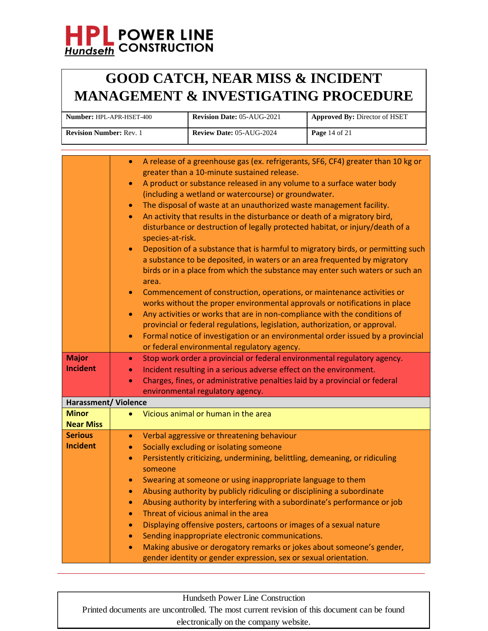## **GOOD CATCH, NEAR MISS & INCIDENT MANAGEMENT & INVESTIGATING PROCEDURE**

| <b>Number: HPL-APR-HSET-400</b> | <b>Revision Date: 05-AUG-2021</b> | <b>Approved By: Director of HSET</b> |
|---------------------------------|-----------------------------------|--------------------------------------|
| <b>Revision Number: Rev. 1</b>  | <b>Review Date: 05-AUG-2024</b>   | <b>Page</b> 14 of 21                 |

|                             | A release of a greenhouse gas (ex. refrigerants, SF6, CF4) greater than 10 kg or<br>$\bullet$ |
|-----------------------------|-----------------------------------------------------------------------------------------------|
|                             | greater than a 10-minute sustained release.                                                   |
|                             | A product or substance released in any volume to a surface water body<br>$\bullet$            |
|                             | (including a wetland or watercourse) or groundwater.                                          |
|                             | The disposal of waste at an unauthorized waste management facility.<br>$\bullet$              |
|                             | An activity that results in the disturbance or death of a migratory bird,<br>$\bullet$        |
|                             | disturbance or destruction of legally protected habitat, or injury/death of a                 |
|                             | species-at-risk.                                                                              |
|                             | Deposition of a substance that is harmful to migratory birds, or permitting such<br>$\bullet$ |
|                             | a substance to be deposited, in waters or an area frequented by migratory                     |
|                             | birds or in a place from which the substance may enter such waters or such an                 |
|                             | area.                                                                                         |
|                             | Commencement of construction, operations, or maintenance activities or<br>$\bullet$           |
|                             | works without the proper environmental approvals or notifications in place                    |
|                             | Any activities or works that are in non-compliance with the conditions of<br>$\bullet$        |
|                             | provincial or federal regulations, legislation, authorization, or approval.                   |
|                             | Formal notice of investigation or an environmental order issued by a provincial<br>$\bullet$  |
|                             | or federal environmental regulatory agency.                                                   |
| <b>Major</b>                | Stop work order a provincial or federal environmental regulatory agency.<br>$\bullet$         |
| <b>Incident</b>             | Incident resulting in a serious adverse effect on the environment.<br>$\bullet$               |
|                             | Charges, fines, or administrative penalties laid by a provincial or federal<br>$\bullet$      |
|                             | environmental regulatory agency.                                                              |
| <b>Harassment/ Violence</b> |                                                                                               |
| <b>Minor</b>                | Vicious animal or human in the area<br>$\bullet$                                              |
| <b>Near Miss</b>            |                                                                                               |
| <b>Serious</b>              | Verbal aggressive or threatening behaviour<br>$\bullet$                                       |
| <b>Incident</b>             | Socially excluding or isolating someone<br>$\bullet$                                          |
|                             | Persistently criticizing, undermining, belittling, demeaning, or ridiculing<br>$\bullet$      |
|                             | someone                                                                                       |
|                             | Swearing at someone or using inappropriate language to them<br>$\bullet$                      |
|                             | Abusing authority by publicly ridiculing or disciplining a subordinate<br>$\bullet$           |
|                             | Abusing authority by interfering with a subordinate's performance or job<br>$\bullet$         |
|                             | Threat of vicious animal in the area<br>$\bullet$                                             |
|                             | Displaying offensive posters, cartoons or images of a sexual nature<br>$\bullet$              |
|                             | Sending inappropriate electronic communications.<br>$\bullet$                                 |
|                             | Making abusive or derogatory remarks or jokes about someone's gender,<br>$\bullet$            |
|                             | gender identity or gender expression, sex or sexual orientation.                              |
|                             |                                                                                               |

Hundseth Power Line Construction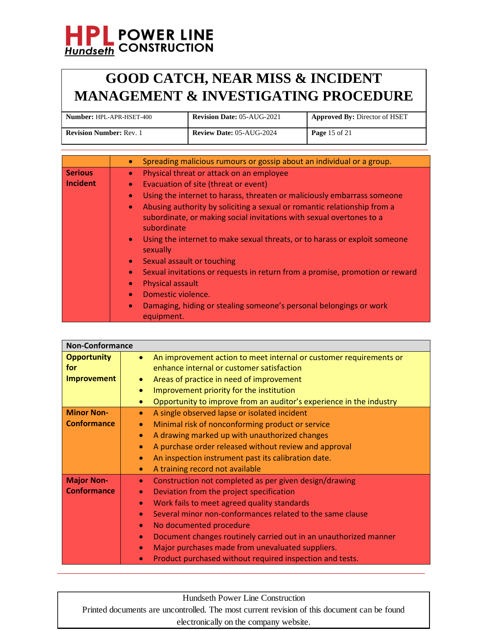## **GOOD CATCH, NEAR MISS & INCIDENT MANAGEMENT & INVESTIGATING PROCEDURE**

| <b>Number:</b> HPL-APR-HSET-400 | <b>Revision Date: 05-AUG-2021</b> | <b>Approved By: Director of HSET</b> |
|---------------------------------|-----------------------------------|--------------------------------------|
| <b>Revision Number: Rev. 1</b>  | <b>Review Date: 05-AUG-2024</b>   | <b>Page</b> 15 of 21                 |

|                | Spreading malicious rumours or gossip about an individual or a group.<br>$\bullet$                                                                                           |
|----------------|------------------------------------------------------------------------------------------------------------------------------------------------------------------------------|
| <b>Serious</b> | Physical threat or attack on an employee<br>$\bullet$                                                                                                                        |
| Incident       | Evacuation of site (threat or event)                                                                                                                                         |
|                | Using the internet to harass, threaten or maliciously embarrass someone<br>$\bullet$                                                                                         |
|                | Abusing authority by soliciting a sexual or romantic relationship from a<br>$\bullet$<br>subordinate, or making social invitations with sexual overtones to a<br>subordinate |
|                | Using the internet to make sexual threats, or to harass or exploit someone<br>$\bullet$<br>sexually                                                                          |
|                | Sexual assault or touching<br>$\bullet$                                                                                                                                      |
|                | Sexual invitations or requests in return from a promise, promotion or reward<br><b>Physical assault</b><br>$\bullet$                                                         |
|                | Domestic violence.                                                                                                                                                           |
|                | Damaging, hiding or stealing someone's personal belongings or work<br>$\bullet$<br>equipment.                                                                                |

| <b>Non-Conformance</b> |                                                                                 |
|------------------------|---------------------------------------------------------------------------------|
| <b>Opportunity</b>     | An improvement action to meet internal or customer requirements or<br>$\bullet$ |
| for                    | enhance internal or customer satisfaction                                       |
| <b>Improvement</b>     | Areas of practice in need of improvement<br>۰                                   |
|                        | Improvement priority for the institution<br>$\bullet$                           |
|                        | Opportunity to improve from an auditor's experience in the industry             |
| <b>Minor Non-</b>      | A single observed lapse or isolated incident<br>$\bullet$                       |
| <b>Conformance</b>     | Minimal risk of nonconforming product or service<br>$\bullet$                   |
|                        | A drawing marked up with unauthorized changes<br>$\bullet$                      |
|                        | A purchase order released without review and approval<br>$\bullet$              |
|                        | An inspection instrument past its calibration date.<br>$\bullet$                |
|                        | A training record not available<br>$\bullet$                                    |
| <b>Major Non-</b>      | Construction not completed as per given design/drawing<br>$\bullet$             |
| <b>Conformance</b>     | Deviation from the project specification<br>$\bullet$                           |
|                        | Work fails to meet agreed quality standards<br>$\bullet$                        |
|                        | Several minor non-conformances related to the same clause<br>$\bullet$          |
|                        | No documented procedure<br>$\bullet$                                            |
|                        | Document changes routinely carried out in an unauthorized manner<br>$\bullet$   |
|                        | Major purchases made from unevaluated suppliers.                                |
|                        | Product purchased without required inspection and tests.                        |

Hundseth Power Line Construction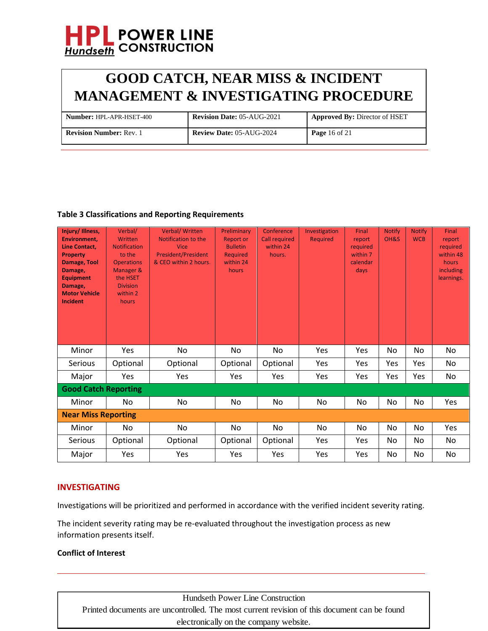

| <b>Number: HPL-APR-HSET-400</b> | <b>Revision Date: 05-AUG-2021</b> | <b>Approved By: Director of HSET</b> |
|---------------------------------|-----------------------------------|--------------------------------------|
| <b>Revision Number: Rev. 1</b>  | <b>Review Date: 05-AUG-2024</b>   | <b>Page</b> 16 of 21                 |

## **Table 3 Classifications and Reporting Requirements**

| Injury/Illness,<br><b>Environment,</b><br><b>Line Contact.</b><br><b>Property</b><br>Damage, Tool<br>Damage,<br><b>Equipment</b><br>Damage,<br><b>Motor Vehicle</b><br><b>Incident</b> | Verbal/<br>Written<br><b>Notification</b><br>to the<br><b>Operations</b><br>Manager &<br>the HSET<br><b>Division</b><br>within 2<br>hours | <b>Verbal/Written</b><br>Notification to the<br>Vice<br><b>President/President</b><br>& CEO within 2 hours. | Preliminary<br><b>Report or</b><br><b>Bulletin</b><br><b>Required</b><br>within 24<br>hours | Conference<br><b>Call required</b><br>within 24<br>hours. | Investigation<br><b>Required</b> | Final<br>report<br>required<br>within 7<br>calendar<br>days | <b>Notify</b><br>OH&S | <b>Notify</b><br><b>WCB</b> | Final<br>report<br>required<br>within 48<br>hours<br>including<br>learnings. |
|----------------------------------------------------------------------------------------------------------------------------------------------------------------------------------------|-------------------------------------------------------------------------------------------------------------------------------------------|-------------------------------------------------------------------------------------------------------------|---------------------------------------------------------------------------------------------|-----------------------------------------------------------|----------------------------------|-------------------------------------------------------------|-----------------------|-----------------------------|------------------------------------------------------------------------------|
| Minor                                                                                                                                                                                  | Yes                                                                                                                                       | No                                                                                                          | No                                                                                          | No                                                        | Yes                              | Yes                                                         | No                    | No                          | No                                                                           |
| <b>Serious</b>                                                                                                                                                                         | Optional                                                                                                                                  | Optional                                                                                                    | Optional                                                                                    | Optional                                                  | Yes                              | <b>Yes</b>                                                  | Yes                   | Yes                         | No                                                                           |
| Major                                                                                                                                                                                  | Yes                                                                                                                                       | Yes                                                                                                         | Yes                                                                                         | Yes                                                       | Yes                              | Yes                                                         | Yes                   | Yes                         | No                                                                           |
| <b>Good Catch Reporting</b>                                                                                                                                                            |                                                                                                                                           |                                                                                                             |                                                                                             |                                                           |                                  |                                                             |                       |                             |                                                                              |
| Minor                                                                                                                                                                                  | No                                                                                                                                        | No                                                                                                          | No                                                                                          | No                                                        | No                               | No                                                          | No                    | No                          | Yes                                                                          |
| <b>Near Miss Reporting</b>                                                                                                                                                             |                                                                                                                                           |                                                                                                             |                                                                                             |                                                           |                                  |                                                             |                       |                             |                                                                              |
| Minor                                                                                                                                                                                  | No.                                                                                                                                       | No.                                                                                                         | No                                                                                          | No                                                        | No                               | No.                                                         | No                    | No                          | Yes                                                                          |
| Serious                                                                                                                                                                                | Optional                                                                                                                                  | Optional                                                                                                    | Optional                                                                                    | Optional                                                  | Yes                              | Yes                                                         | No                    | No                          | No                                                                           |
| Major                                                                                                                                                                                  | Yes                                                                                                                                       | Yes                                                                                                         | Yes                                                                                         | Yes                                                       | Yes                              | Yes                                                         | No                    | No                          | No                                                                           |

## **INVESTIGATING**

Investigations will be prioritized and performed in accordance with the verified incident severity rating.

The incident severity rating may be re-evaluated throughout the investigation process as new information presents itself.

#### **Conflict of Interest**

Hundseth Power Line Construction Printed documents are uncontrolled. The most current revision of this document can be found electronically on the company website.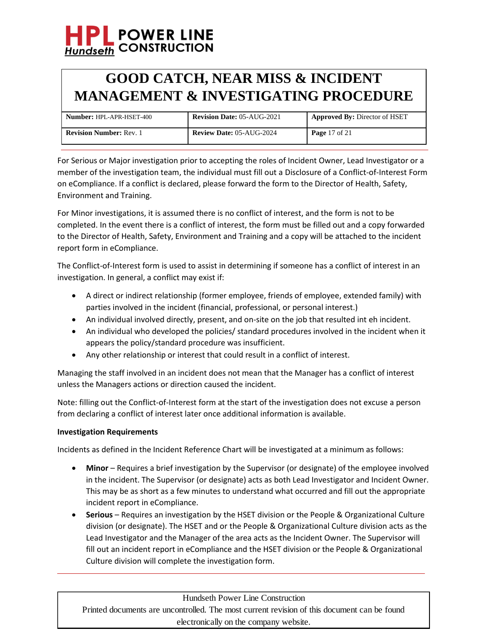## **GOOD CATCH, NEAR MISS & INCIDENT MANAGEMENT & INVESTIGATING PROCEDURE**

| <b>Number: HPL-APR-HSET-400</b> | <b>Revision Date: 05-AUG-2021</b> | <b>Approved By: Director of HSET</b> |
|---------------------------------|-----------------------------------|--------------------------------------|
| <b>Revision Number: Rev. 1</b>  | <b>Review Date: 05-AUG-2024</b>   | <b>Page</b> 17 of 21                 |

For Serious or Major investigation prior to accepting the roles of Incident Owner, Lead Investigator or a member of the investigation team, the individual must fill out a Disclosure of a Conflict-of-Interest Form on eCompliance. If a conflict is declared, please forward the form to the Director of Health, Safety, Environment and Training.

For Minor investigations, it is assumed there is no conflict of interest, and the form is not to be completed. In the event there is a conflict of interest, the form must be filled out and a copy forwarded to the Director of Health, Safety, Environment and Training and a copy will be attached to the incident report form in eCompliance.

The Conflict-of-Interest form is used to assist in determining if someone has a conflict of interest in an investigation. In general, a conflict may exist if:

- A direct or indirect relationship (former employee, friends of employee, extended family) with parties involved in the incident (financial, professional, or personal interest.)
- An individual involved directly, present, and on-site on the job that resulted int eh incident.
- An individual who developed the policies/ standard procedures involved in the incident when it appears the policy/standard procedure was insufficient.
- Any other relationship or interest that could result in a conflict of interest.

Managing the staff involved in an incident does not mean that the Manager has a conflict of interest unless the Managers actions or direction caused the incident.

Note: filling out the Conflict-of-Interest form at the start of the investigation does not excuse a person from declaring a conflict of interest later once additional information is available.

## **Investigation Requirements**

Incidents as defined in the Incident Reference Chart will be investigated at a minimum as follows:

- Minor Requires a brief investigation by the Supervisor (or designate) of the employee involved in the incident. The Supervisor (or designate) acts as both Lead Investigator and Incident Owner. This may be as short as a few minutes to understand what occurred and fill out the appropriate incident report in eCompliance.
- **Serious** Requires an investigation by the HSET division or the People & Organizational Culture division (or designate). The HSET and or the People & Organizational Culture division acts as the Lead Investigator and the Manager of the area acts as the Incident Owner. The Supervisor will fill out an incident report in eCompliance and the HSET division or the People & Organizational Culture division will complete the investigation form.

Hundseth Power Line Construction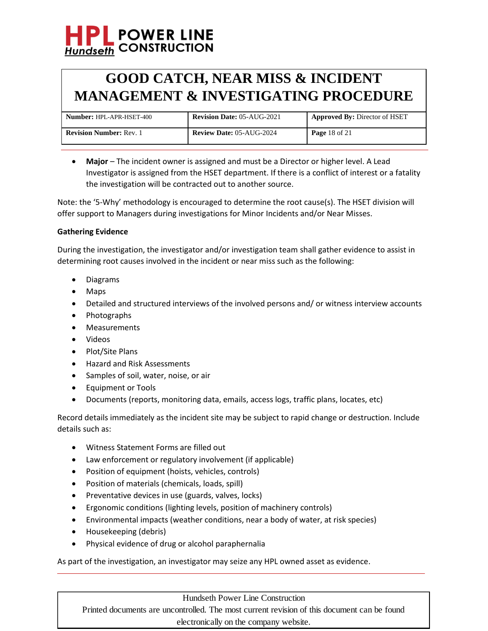## **GOOD CATCH, NEAR MISS & INCIDENT MANAGEMENT & INVESTIGATING PROCEDURE**

| <b>Number: HPL-APR-HSET-400</b> | <b>Revision Date: 05-AUG-2021</b> | <b>Approved By: Director of HSET</b> |
|---------------------------------|-----------------------------------|--------------------------------------|
| <b>Revision Number: Rev. 1</b>  | <b>Review Date: 05-AUG-2024</b>   | <b>Page 18 of 21</b>                 |

• **Major** – The incident owner is assigned and must be a Director or higher level. A Lead Investigator is assigned from the HSET department. If there is a conflict of interest or a fatality the investigation will be contracted out to another source.

Note: the '5-Why' methodology is encouraged to determine the root cause(s). The HSET division will offer support to Managers during investigations for Minor Incidents and/or Near Misses.

## **Gathering Evidence**

During the investigation, the investigator and/or investigation team shall gather evidence to assist in determining root causes involved in the incident or near miss such as the following:

- Diagrams
- Maps
- Detailed and structured interviews of the involved persons and/ or witness interview accounts
- Photographs
- Measurements
- Videos
- Plot/Site Plans
- Hazard and Risk Assessments
- Samples of soil, water, noise, or air
- Equipment or Tools
- Documents (reports, monitoring data, emails, access logs, traffic plans, locates, etc)

Record details immediately as the incident site may be subject to rapid change or destruction. Include details such as:

- Witness Statement Forms are filled out
- Law enforcement or regulatory involvement (if applicable)
- Position of equipment (hoists, vehicles, controls)
- Position of materials (chemicals, loads, spill)
- Preventative devices in use (guards, valves, locks)
- Ergonomic conditions (lighting levels, position of machinery controls)
- Environmental impacts (weather conditions, near a body of water, at risk species)
- Housekeeping (debris)
- Physical evidence of drug or alcohol paraphernalia

As part of the investigation, an investigator may seize any HPL owned asset as evidence.

### Hundseth Power Line Construction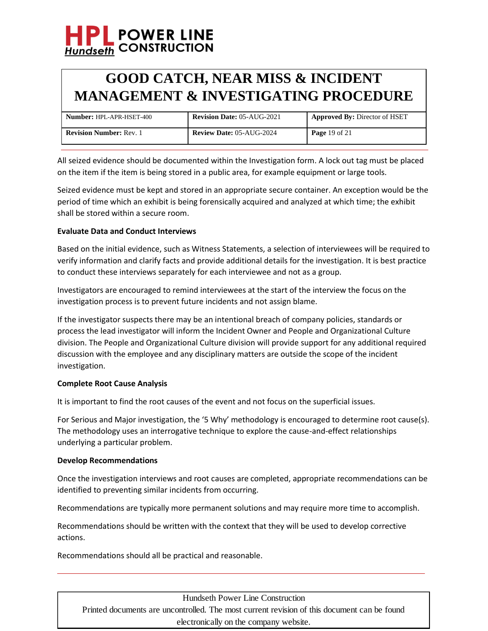## **GOOD CATCH, NEAR MISS & INCIDENT MANAGEMENT & INVESTIGATING PROCEDURE**

| <b>Number: HPL-APR-HSET-400</b> | <b>Revision Date: 05-AUG-2021</b> | <b>Approved By: Director of HSET</b> |
|---------------------------------|-----------------------------------|--------------------------------------|
| <b>Revision Number: Rev. 1</b>  | <b>Review Date: 05-AUG-2024</b>   | <b>Page</b> 19 of 21                 |

All seized evidence should be documented within the Investigation form. A lock out tag must be placed on the item if the item is being stored in a public area, for example equipment or large tools.

Seized evidence must be kept and stored in an appropriate secure container. An exception would be the period of time which an exhibit is being forensically acquired and analyzed at which time; the exhibit shall be stored within a secure room.

## **Evaluate Data and Conduct Interviews**

Based on the initial evidence, such as Witness Statements, a selection of interviewees will be required to verify information and clarify facts and provide additional details for the investigation. It is best practice to conduct these interviews separately for each interviewee and not as a group.

Investigators are encouraged to remind interviewees at the start of the interview the focus on the investigation process is to prevent future incidents and not assign blame.

If the investigator suspects there may be an intentional breach of company policies, standards or process the lead investigator will inform the Incident Owner and People and Organizational Culture division. The People and Organizational Culture division will provide support for any additional required discussion with the employee and any disciplinary matters are outside the scope of the incident investigation.

### **Complete Root Cause Analysis**

It is important to find the root causes of the event and not focus on the superficial issues.

For Serious and Major investigation, the '5 Why' methodology is encouraged to determine root cause(s). The methodology uses an interrogative technique to explore the cause-and-effect relationships underlying a particular problem.

### **Develop Recommendations**

Once the investigation interviews and root causes are completed, appropriate recommendations can be identified to preventing similar incidents from occurring.

Recommendations are typically more permanent solutions and may require more time to accomplish.

Recommendations should be written with the context that they will be used to develop corrective actions.

Recommendations should all be practical and reasonable.

## Hundseth Power Line Construction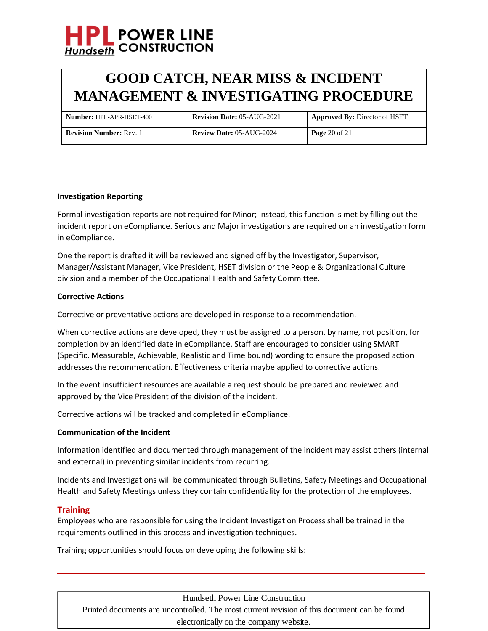

| <b>Number: HPL-APR-HSET-400</b> | <b>Revision Date: 05-AUG-2021</b> | <b>Approved By: Director of HSET</b> |
|---------------------------------|-----------------------------------|--------------------------------------|
| <b>Revision Number: Rev. 1</b>  | <b>Review Date: 05-AUG-2024</b>   | <b>Page</b> 20 of 21                 |

#### **Investigation Reporting**

Formal investigation reports are not required for Minor; instead, this function is met by filling out the incident report on eCompliance. Serious and Major investigations are required on an investigation form in eCompliance.

One the report is drafted it will be reviewed and signed off by the Investigator, Supervisor, Manager/Assistant Manager, Vice President, HSET division or the People & Organizational Culture division and a member of the Occupational Health and Safety Committee.

#### **Corrective Actions**

Corrective or preventative actions are developed in response to a recommendation.

When corrective actions are developed, they must be assigned to a person, by name, not position, for completion by an identified date in eCompliance. Staff are encouraged to consider using SMART (Specific, Measurable, Achievable, Realistic and Time bound) wording to ensure the proposed action addresses the recommendation. Effectiveness criteria maybe applied to corrective actions.

In the event insufficient resources are available a request should be prepared and reviewed and approved by the Vice President of the division of the incident.

Corrective actions will be tracked and completed in eCompliance.

#### **Communication of the Incident**

Information identified and documented through management of the incident may assist others (internal and external) in preventing similar incidents from recurring.

Incidents and Investigations will be communicated through Bulletins, Safety Meetings and Occupational Health and Safety Meetings unless they contain confidentiality for the protection of the employees.

### **Training**

Employees who are responsible for using the Incident Investigation Process shall be trained in the requirements outlined in this process and investigation techniques.

Training opportunities should focus on developing the following skills:

Hundseth Power Line Construction